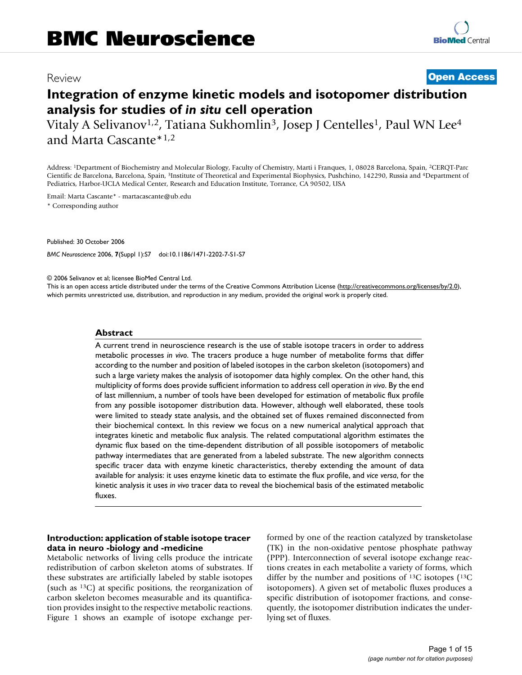# Review **[Open Access](http://www.biomedcentral.com/info/about/charter/)**

# **Integration of enzyme kinetic models and isotopomer distribution analysis for studies of** *in situ* **cell operation**

Vitaly A Selivanov<sup>1,2</sup>, Tatiana Sukhomlin<sup>3</sup>, Josep J Centelles<sup>1</sup>, Paul WN Lee<sup>4</sup> and Marta Cascante\*1,2

Address: 1Department of Biochemistry and Molecular Biology, Faculty of Chemistry, Marti i Franques, 1, 08028 Barcelona, Spain, 2CERQT-Parc Cientific de Barcelona, Barcelona, Spain, 3Institute of Theoretical and Experimental Biophysics, Pushchino, 142290, Russia and 4Department of Pediatrics, Harbor-UCLA Medical Center, Research and Education Institute, Torrance, CA 90502, USA

Email: Marta Cascante\* - martacascante@ub.edu

\* Corresponding author

Published: 30 October 2006 *BMC Neuroscience* 2006, **7**(Suppl 1):S7 doi:10.1186/1471-2202-7-S1-S7

© 2006 Selivanov et al; licensee BioMed Central Ltd.

This is an open access article distributed under the terms of the Creative Commons Attribution License [\(http://creativecommons.org/licenses/by/2.0\)](http://creativecommons.org/licenses/by/2.0), which permits unrestricted use, distribution, and reproduction in any medium, provided the original work is properly cited.

### **Abstract**

A current trend in neuroscience research is the use of stable isotope tracers in order to address metabolic processes *in vivo*. The tracers produce a huge number of metabolite forms that differ according to the number and position of labeled isotopes in the carbon skeleton (isotopomers) and such a large variety makes the analysis of isotopomer data highly complex. On the other hand, this multiplicity of forms does provide sufficient information to address cell operation *in vivo*. By the end of last millennium, a number of tools have been developed for estimation of metabolic flux profile from any possible isotopomer distribution data. However, although well elaborated, these tools were limited to steady state analysis, and the obtained set of fluxes remained disconnected from their biochemical context. In this review we focus on a new numerical analytical approach that integrates kinetic and metabolic flux analysis. The related computational algorithm estimates the dynamic flux based on the time-dependent distribution of all possible isotopomers of metabolic pathway intermediates that are generated from a labeled substrate. The new algorithm connects specific tracer data with enzyme kinetic characteristics, thereby extending the amount of data available for analysis: it uses enzyme kinetic data to estimate the flux profile, and *vice versa*, for the kinetic analysis it uses *in vivo* tracer data to reveal the biochemical basis of the estimated metabolic fluxes.

# **Introduction: application of stable isotope tracer data in neuro -biology and -medicine**

Metabolic networks of living cells produce the intricate redistribution of carbon skeleton atoms of substrates. If these substrates are artificially labeled by stable isotopes (such as 13C) at specific positions, the reorganization of carbon skeleton becomes measurable and its quantification provides insight to the respective metabolic reactions. Figure 1 shows an example of isotope exchange performed by one of the reaction catalyzed by transketolase (TK) in the non-oxidative pentose phosphate pathway (PPP). Interconnection of several isotope exchange reactions creates in each metabolite a variety of forms, which differ by the number and positions of  $^{13}$ C isotopes ( $^{13}$ C isotopomers). A given set of metabolic fluxes produces a specific distribution of isotopomer fractions, and consequently, the isotopomer distribution indicates the underlying set of fluxes.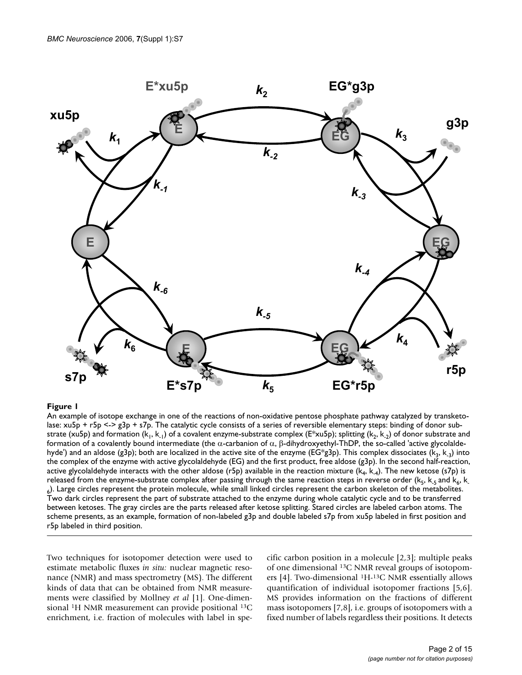

#### An example of isotope exchange in one of the reactions of lase: xu5p + r5p <-> g3p + s7p **Figure 1** non-oxidative pentose phosphate pathway catalyzed by transketo-

An example of isotope exchange in one of the reactions of non-oxidative pentose phosphate pathway catalyzed by transketolase: xu5p + r5p <-> g3p + s7p. The catalytic cycle consists of a series of reversible elementary steps: binding of donor substrate (xu5p) and formation (k<sub>1</sub>, k<sub>-1</sub>) of a covalent enzyme-substrate complex (E\*xu5p); splitting (k<sub>2</sub>, k<sub>-2</sub>) of donor substrate and formation of a covalently bound intermediate (the α-carbanion of α, β-dihydroxyethyl-ThDP, the so-called 'active glycolaldehyde') and an aldose (g3p); both are localized in the active site of the enzyme (EG\*g3p). This complex dissociates ( $k_3, k_3$ ) into the complex of the enzyme with active glycolaldehyde (EG) and the first product, free aldose (g3p). In the second half-reaction, active glycolaldehyde interacts with the other aldose (r5p) available in the reaction mixture  $(k_4, k_4)$ . The new ketose (s7p) is released from the enzyme-substrate complex after passing through the same reaction steps in reverse order ( $k_5$ ,  $k_5$  and  $k_6$ ,  $k_1$  $6$ ). Large circles represent the protein molecule, while small linked circles represent the carbon skeleton of the metabolites. Two dark circles represent the part of substrate attached to the enzyme during whole catalytic cycle and to be transferred between ketoses. The gray circles are the parts released after ketose splitting. Stared circles are labeled carbon atoms. The scheme presents, as an example, formation of non-labeled g3p and double labeled s7p from xu5p labeled in first position and r5p labeled in third position.

Two techniques for isotopomer detection were used to estimate metabolic fluxes *in situ:* nuclear magnetic resonance (NMR) and mass spectrometry (MS). The different kinds of data that can be obtained from NMR measurements were classified by Mollney *et al* [1]. One-dimensional 1H NMR measurement can provide positional 13C enrichment, i.e. fraction of molecules with label in specific carbon position in a molecule [2,3]; multiple peaks of one dimensional 13C NMR reveal groups of isotopomers [4]. Two-dimensional 1H-13C NMR essentially allows quantification of individual isotopomer fractions [5,6]. MS provides information on the fractions of different mass isotopomers [7,8], i.e. groups of isotopomers with a fixed number of labels regardless their positions. It detects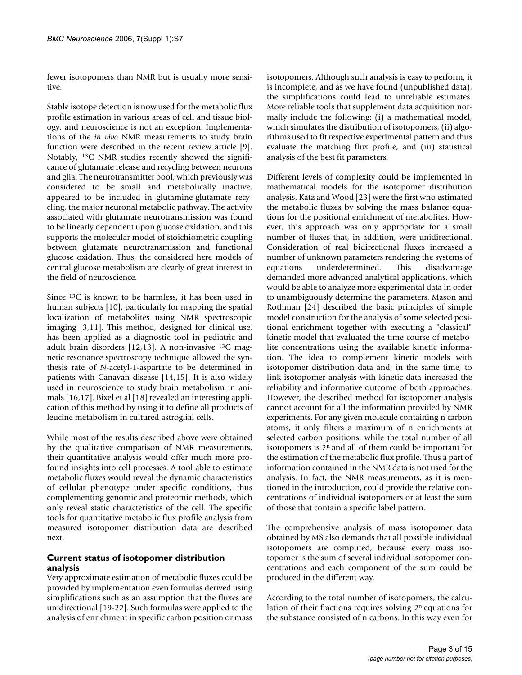fewer isotopomers than NMR but is usually more sensitive.

Stable isotope detection is now used for the metabolic flux profile estimation in various areas of cell and tissue biology, and neuroscience is not an exception. Implementations of the *in vivo* NMR measurements to study brain function were described in the recent review article [9]. Notably, 13C NMR studies recently showed the significance of glutamate release and recycling between neurons and glia. The neurotransmitter pool, which previously was considered to be small and metabolically inactive, appeared to be included in glutamine-glutamate recycling, the major neuronal metabolic pathway. The activity associated with glutamate neurotransmission was found to be linearly dependent upon glucose oxidation, and this supports the molecular model of stoichiometric coupling between glutamate neurotransmission and functional glucose oxidation. Thus, the considered here models of central glucose metabolism are clearly of great interest to the field of neuroscience.

Since 13C is known to be harmless, it has been used in human subjects [10], particularly for mapping the spatial localization of metabolites using NMR spectroscopic imaging [3,11]. This method, designed for clinical use, has been applied as a diagnostic tool in pediatric and adult brain disorders [12,13]. A non-invasive 13C magnetic resonance spectroscopy technique allowed the synthesis rate of *N*-acetyl-1-aspartate to be determined in patients with Canavan disease [14[,15](#page-13-0)]. It is also widely used in neuroscience to study brain metabolism in animals [16,17]. Bixel et al [18] revealed an interesting application of this method by using it to define all products of leucine metabolism in cultured astroglial cells.

While most of the results described above were obtained by the qualitative comparison of NMR measurements, their quantitative analysis would offer much more profound insights into cell processes. A tool able to estimate metabolic fluxes would reveal the dynamic characteristics of cellular phenotype under specific conditions, thus complementing genomic and proteomic methods, which only reveal static characteristics of the cell. The specific tools for quantitative metabolic flux profile analysis from measured isotopomer distribution data are described next.

# **Current status of isotopomer distribution analysis**

Very approximate estimation of metabolic fluxes could be provided by implementation even formulas derived using simplifications such as an assumption that the fluxes are unidirectional [19-22]. Such formulas were applied to the analysis of enrichment in specific carbon position or mass

isotopomers. Although such analysis is easy to perform, it is incomplete, and as we have found (unpublished data), the simplifications could lead to unreliable estimates. More reliable tools that supplement data acquisition normally include the following: (i) a mathematical model, which simulates the distribution of isotopomers, (ii) algorithms used to fit respective experimental pattern and thus evaluate the matching flux profile, and (iii) statistical analysis of the best fit parameters.

Different levels of complexity could be implemented in mathematical models for the isotopomer distribution analysis. Katz and Wood [23] were the first who estimated the metabolic fluxes by solving the mass balance equations for the positional enrichment of metabolites. However, this approach was only appropriate for a small number of fluxes that, in addition, were unidirectional. Consideration of real bidirectional fluxes increased a number of unknown parameters rendering the systems of equations underdetermined. This disadvantage demanded more advanced analytical applications, which would be able to analyze more experimental data in order to unambiguously determine the parameters. Mason and Rothman [24] described the basic principles of simple model construction for the analysis of some selected positional enrichment together with executing a "classical" kinetic model that evaluated the time course of metabolite concentrations using the available kinetic information. The idea to complement kinetic models with isotopomer distribution data and, in the same time, to link isotopomer analysis with kinetic data increased the reliability and informative outcome of both approaches. However, the described method for isotopomer analysis cannot account for all the information provided by NMR experiments. For any given molecule containing n carbon atoms, it only filters a maximum of n enrichments at selected carbon positions, while the total number of all isotopomers is  $2<sup>n</sup>$  and all of them could be important for the estimation of the metabolic flux profile. Thus a part of information contained in the NMR data is not used for the analysis. In fact, the NMR measurements, as it is mentioned in the introduction, could provide the relative concentrations of individual isotopomers or at least the sum of those that contain a specific label pattern.

The comprehensive analysis of mass isotopomer data obtained by MS also demands that all possible individual isotopomers are computed, because every mass isotopomer is the sum of several individual isotopomer concentrations and each component of the sum could be produced in the different way.

According to the total number of isotopomers, the calculation of their fractions requires solving 2n equations for the substance consisted of n carbons. In this way even for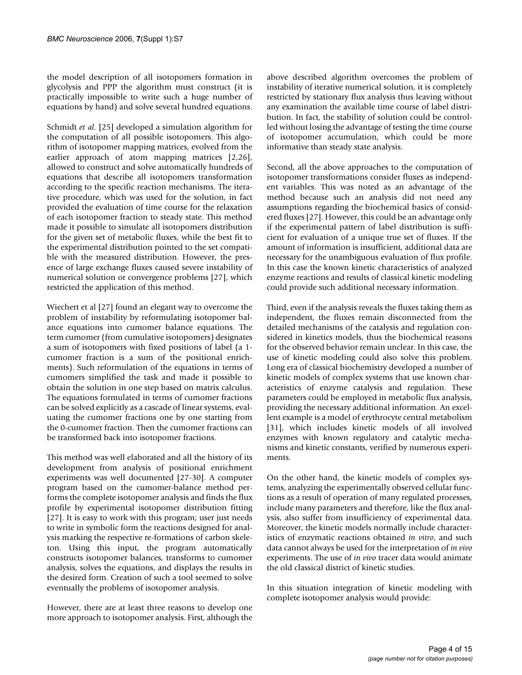the model description of all isotopomers formation in glycolysis and PPP the algorithm must construct (it is practically impossible to write such a huge number of equations by hand) and solve several hundred equations.

Schmidt *et al*. [25] developed a simulation algorithm for the computation of all possible isotopomers. This algorithm of isotopomer mapping matrices, evolved from the earlier approach of atom mapping matrices [2,26], allowed to construct and solve automatically hundreds of equations that describe all isotopomers transformation according to the specific reaction mechanisms. The iterative procedure, which was used for the solution, in fact provided the evaluation of time course for the relaxation of each isotopomer fraction to steady state. This method made it possible to simulate all isotopomers distribution for the given set of metabolic fluxes, while the best fit to the experimental distribution pointed to the set compatible with the measured distribution. However, the presence of large exchange fluxes caused severe instability of numerical solution or convergence problems [27], which restricted the application of this method.

Wiechert et al [27] found an elegant way to overcome the problem of instability by reformulating isotopomer balance equations into cumomer balance equations. The term cumomer (from cumulative isotopomers) designates a sum of isotopomers with fixed positions of label (a 1 cumomer fraction is a sum of the positional enrichments). Such reformulation of the equations in terms of cumomers simplified the task and made it possible to obtain the solution in one step based on matrix calculus. The equations formulated in terms of cumomer fractions can be solved explicitly as a cascade of linear systems, evaluating the cumomer fractions one by one starting from the 0-cumomer fraction. Then the cumomer fractions can be transformed back into isotopomer fractions.

This method was well elaborated and all the history of its development from analysis of positional enrichment experiments was well documented [27-30]. A computer program based on the cumomer-balance method performs the complete isotopomer analysis and finds the flux profile by experimental isotopomer distribution fitting [27]. It is easy to work with this program; user just needs to write in symbolic form the reactions designed for analysis marking the respective re-formations of carbon skeleton. Using this input, the program automatically constructs isotopomer balances, transforms to cumomer analysis, solves the equations, and displays the results in the desired form. Creation of such a tool seemed to solve eventually the problems of isotopomer analysis.

However, there are at least three reasons to develop one more approach to isotopomer analysis. First, although the above described algorithm overcomes the problem of instability of iterative numerical solution, it is completely restricted by stationary flux analysis thus leaving without any examination the available time course of label distribution. In fact, the stability of solution could be controlled without losing the advantage of testing the time course of isotopomer accumulation, which could be more informative than steady state analysis.

Second, all the above approaches to the computation of isotopomer transformations consider fluxes as independent variables. This was noted as an advantage of the method because such an analysis did not need any assumptions regarding the biochemical basics of considered fluxes [27]. However, this could be an advantage only if the experimental pattern of label distribution is sufficient for evaluation of a unique true set of fluxes. If the amount of information is insufficient, additional data are necessary for the unambiguous evaluation of flux profile. In this case the known kinetic characteristics of analyzed enzyme reactions and results of classical kinetic modeling could provide such additional necessary information.

Third, even if the analysis reveals the fluxes taking them as independent, the fluxes remain disconnected from the detailed mechanisms of the catalysis and regulation considered in kinetics models, thus the biochemical reasons for the observed behavior remain unclear. In this case, the use of kinetic modeling could also solve this problem. Long era of classical biochemistry developed a number of kinetic models of complex systems that use known characteristics of enzyme catalysis and regulation. These parameters could be employed in metabolic flux analysis, providing the necessary additional information. An excellent example is a model of erythrocyte central metabolism [31], which includes kinetic models of all involved enzymes with known regulatory and catalytic mechanisms and kinetic constants, verified by numerous experiments.

On the other hand, the kinetic models of complex systems, analyzing the experimentally observed cellular functions as a result of operation of many regulated processes, include many parameters and therefore, like the flux analysis, also suffer from insufficiency of experimental data. Moreover, the kinetic models normally include characteristics of enzymatic reactions obtained *in vitro*, and such data cannot always be used for the interpretation of *in vivo* experiments. The use of *in vivo* tracer data would animate the old classical district of kinetic studies.

In this situation integration of kinetic modeling with complete isotopomer analysis would provide: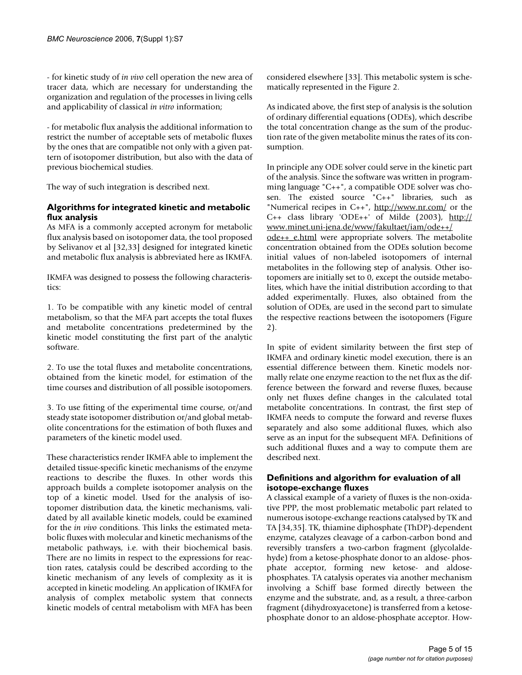- for kinetic study of *in vivo* cell operation the new area of tracer data, which are necessary for understanding the organization and regulation of the processes in living cells and applicability of classical *in vitro* information;

- for metabolic flux analysis the additional information to restrict the number of acceptable sets of metabolic fluxes by the ones that are compatible not only with a given pattern of isotopomer distribution, but also with the data of previous biochemical studies.

The way of such integration is described next.

# **Algorithms for integrated kinetic and metabolic flux analysis**

As MFA is a commonly accepted acronym for metabolic flux analysis based on isotopomer data, the tool proposed by Selivanov et al [32,33] designed for integrated kinetic and metabolic flux analysis is abbreviated here as IKMFA.

IKMFA was designed to possess the following characteristics:

1. To be compatible with any kinetic model of central metabolism, so that the MFA part accepts the total fluxes and metabolite concentrations predetermined by the kinetic model constituting the first part of the analytic software.

2. To use the total fluxes and metabolite concentrations, obtained from the kinetic model, for estimation of the time courses and distribution of all possible isotopomers.

3. To use fitting of the experimental time course, or/and steady state isotopomer distribution or/and global metabolite concentrations for the estimation of both fluxes and parameters of the kinetic model used.

These characteristics render IKMFA able to implement the detailed tissue-specific kinetic mechanisms of the enzyme reactions to describe the fluxes. In other words this approach builds a complete isotopomer analysis on the top of a kinetic model. Used for the analysis of isotopomer distribution data, the kinetic mechanisms, validated by all available kinetic models, could be examined for the *in vivo* conditions. This links the estimated metabolic fluxes with molecular and kinetic mechanisms of the metabolic pathways, i.e. with their biochemical basis. There are no limits in respect to the expressions for reaction rates, catalysis could be described according to the kinetic mechanism of any levels of complexity as it is accepted in kinetic modeling. An application of IKMFA for analysis of complex metabolic system that connects kinetic models of central metabolism with MFA has been considered elsewhere [33]. This metabolic system is schematically represented in the Figure 2.

As indicated above, the first step of analysis is the solution of ordinary differential equations (ODEs), which describe the total concentration change as the sum of the production rate of the given metabolite minus the rates of its consumption.

In principle any ODE solver could serve in the kinetic part of the analysis. Since the software was written in programming language "C++", a compatible ODE solver was chosen. The existed source "C++" libraries, such as "Numerical recipes in C++", <http://www.nr.com/> or the  $C_{++}$  class library 'ODE++' of Milde (2003), [http://](http://www.minet.uni-jena.de/www/fakultaet/iam/ode++/ode++_e.html) [www.minet.uni-jena.de/www/fakultaet/iam/ode++/](http://www.minet.uni-jena.de/www/fakultaet/iam/ode++/ode++_e.html) [ode++\\_e.html](http://www.minet.uni-jena.de/www/fakultaet/iam/ode++/ode++_e.html) were appropriate solvers. The metabolite concentration obtained from the ODEs solution become initial values of non-labeled isotopomers of internal metabolites in the following step of analysis. Other isotopomers are initially set to 0, except the outside metabolites, which have the initial distribution according to that added experimentally. Fluxes, also obtained from the solution of ODEs, are used in the second part to simulate the respective reactions between the isotopomers (Figure 2).

In spite of evident similarity between the first step of IKMFA and ordinary kinetic model execution, there is an essential difference between them. Kinetic models normally relate one enzyme reaction to the net flux as the difference between the forward and reverse fluxes, because only net fluxes define changes in the calculated total metabolite concentrations. In contrast, the first step of IKMFA needs to compute the forward and reverse fluxes separately and also some additional fluxes, which also serve as an input for the subsequent MFA. Definitions of such additional fluxes and a way to compute them are described next.

# **Definitions and algorithm for evaluation of all isotope-exchange fluxes**

A classical example of a variety of fluxes is the non-oxidative PPP, the most problematic metabolic part related to numerous isotope-exchange reactions catalysed by TK and TA [34,35]. TK, thiamine diphosphate (ThDP)-dependent enzyme, catalyzes cleavage of a carbon-carbon bond and reversibly transfers a two-carbon fragment (glycolaldehyde) from a ketose-phosphate donor to an aldose- phosphate acceptor, forming new ketose- and aldosephosphates. TA catalysis operates via another mechanism involving a Schiff base formed directly between the enzyme and the substrate, and, as a result, a three-carbon fragment (dihydroxyacetone) is transferred from a ketosephosphate donor to an aldose-phosphate acceptor. How-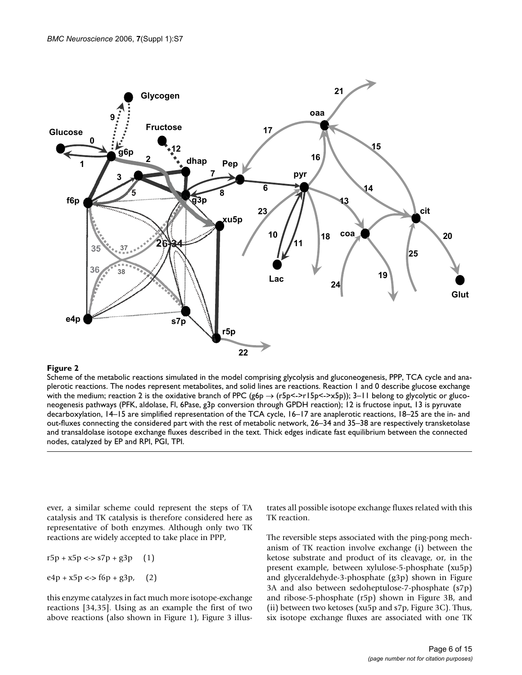

#### Scheme of the metabolic reactions simulated in the model co plerotic reactions **Figure 2** mprising glycolysis and gluconeogenesis, PPP, TCA cycle and ana-

Scheme of the metabolic reactions simulated in the model comprising glycolysis and gluconeogenesis, PPP, TCA cycle and anaplerotic reactions. The nodes represent metabolites, and solid lines are reactions. Reaction 1 and 0 describe glucose exchange with the medium; reaction 2 is the oxidative branch of PPC ( $g6p \rightarrow (r5p \leftarrow r15p \leftarrow r2p)$ ); 3–11 belong to glycolytic or gluconeogenesis pathways (PFK, aldolase, Fl, 6Pase, g3p conversion through GPDH reaction); 12 is fructose input, 13 is pyruvate decarboxylation, 14–15 are simplified representation of the TCA cycle, 16–17 are anaplerotic reactions, 18–25 are the in- and out-fluxes connecting the considered part with the rest of metabolic network, 26–34 and 35–38 are respectively transketolase and transaldolase isotope exchange fluxes described in the text. Thick edges indicate fast equilibrium between the connected nodes, catalyzed by EP and RPI, PGI, TPI.

ever, a similar scheme could represent the steps of TA catalysis and TK catalysis is therefore considered here as representative of both enzymes. Although only two TK reactions are widely accepted to take place in PPP,

$$
r5p + x5p \iff s7p + g3p \quad (1)
$$

 $e4p + x5p \le f6p + g3p$ , (2)

this enzyme catalyzes in fact much more isotope-exchange reactions [34,35]. Using as an example the first of two above reactions (also shown in Figure 1), Figure 3 illustrates all possible isotope exchange fluxes related with this TK reaction.

The reversible steps associated with the ping-pong mechanism of TK reaction involve exchange (i) between the ketose substrate and product of its cleavage, or, in the present example, between xylulose-5-phosphate (xu5p) and glyceraldehyde-3-phosphate (g3p) shown in Figure 3A and also between sedoheptulose-7-phosphate (s7p) and ribose-5-phosphate (r5p) shown in Figure 3B, and (ii) between two ketoses (xu5p and s7p, Figure 3C). Thus, six isotope exchange fluxes are associated with one TK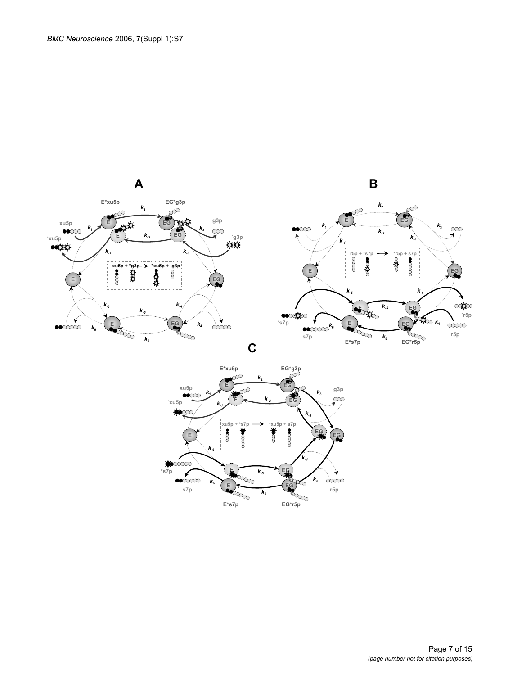



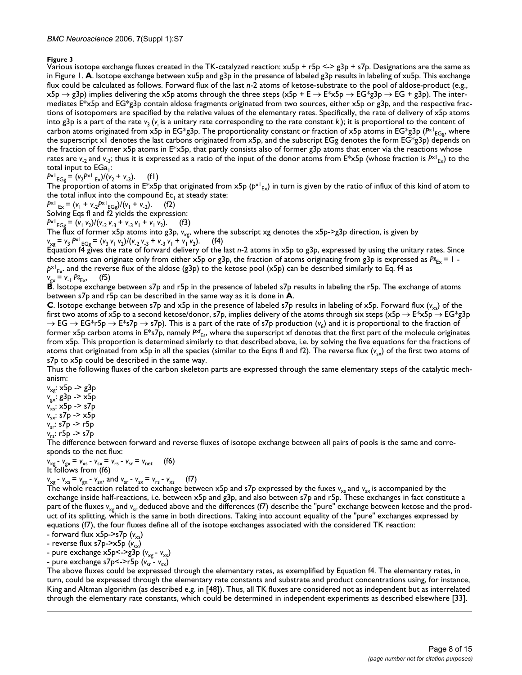Various isotope exchange fluxes created in the **Figure 3** TK-catalyzed reaction: xu5p + r5p <-> g3p + s7p Various isotope exchange fluxes created in the TK-catalyzed reaction:  $x \cup 5p + r5p \leq 2p + s7p$ . Designations are the same as in Figure 1. **A**. Isotope exchange between xu5p and g3p in the presence of labeled g3p results in labeling of xu5p. This exchange flux could be calculated as follows. Forward flux of the last *n*-2 atoms of ketose-substrate to the pool of aldose-product (e.g.,  $x5p \rightarrow g3p$ ) implies delivering the x5p atoms through the three steps  $(x5p + E \rightarrow E^{*}x5p \rightarrow EG^{*}g3p \rightarrow EG + g3p)$ . The intermediates E\*x5p and EG\*g3p contain aldose fragments originated from two sources, either x5p or g3p, and the respective fractions of isotopomers are specified by the relative values of the elementary rates. Specifically, the rate of delivery of x5p atoms into g3p is a part of the rate  $v_3$  ( $v_i$  is a unitary rate corresponding to the rate constant  $k_i$ ); it is proportional to the content of carbon atoms originated from x5p in EG\*g3p. The proportionality constant or fraction of x5p atoms in EG\*g3p (<sup>px।</sup><sub>EGg</sub>, where the superscript x1 denotes the last carbons originated from x5p, and the subscript EGg denotes the form EG\*g3p) depends on the fraction of former x5p atoms in E\*x5p, that partly consists also of former g3p atoms that enter via the reactions whose rates are v<sub>-2</sub> and v<sub>-3</sub>; thus it is expressed as a ratio of the input of the donor atoms from E\*x5p (whose fraction is P×I<sub>Ex</sub>) to the total input to  $EGa_1$ :

 $P^{\times 1}$ <sub>EGg</sub> =  $(v_2 P^{\times 1}$ <sub>Ex</sub> $)/(v_2 + v_{-3})$ . (f1)

The proportion of atoms in E\*x5p that originated from x5p ( $p^{\times l}{}_{E\!\times}$ ) in turn is given by the ratio of influx of this kind of atom to the total influx into the compound  $Ec<sub>1</sub>$  at steady state:

$$
P^{\times 1}{}_{Ex} = (v_1 + v_{.2}P^{\times 1}{}_{EGg})/(v_1 + v_{.2}).
$$
 (f2)

Solving Eqs fl and f2 yields the expression:

 $P^{\times 1}$ <sub>EGg</sub> =  $(v_1 v_2)/(v_{-2} v_{-3} + v_{-3} v_1 + v_1 v_2)$ . (f3)

The flux of former x5p atoms into g3p,  $v_{xy}$ , where the subscript xg denotes the x5p->g3p direction, is given by  $v_{xy} = v_3 P^{x}1_{FGg} = (v_3 v_1 v_2)/(v_2 v_3 + v_3 v_1 + v_1 v_2)$ . (f4)  $v_{\text{xg}} = v_3 P^{\text{x1}} E_{\text{Gg}} = (v_3 v_1 v_2) / (v_2 v_3 + v_3 v_1 + v_1 v_2).$  (f4)

Equation f4 gives the rate of forward delivery of the last *n*-2 atoms in x5p to g3p, expressed by using the unitary rates. Since these atoms can originate only from either x5p or g3p, the fraction of atoms originating from g3p is expressed as Ps<sub>Ex</sub> = 1 *p*x1 Ex. and the reverse flux of the aldose (g3p) to the ketose pool (x5p) can be described similarly to Eq. f4 as  $v_{\rm gx} = v_{\rm -1} P_{\rm g_{\rm Ex}}$ , (f5)

**B**. Isotope exchange between s7p and r5p in the presence of labeled s7p results in labeling the r5p. The exchange of atoms between s7p and r5p can be described in the same way as it is done in **A**.

**C**. Isotope exchange between s7p and x5p in the presence of labeled s7p results in labeling of x5p. Forward flux ( $v<sub>xx</sub>$ ) of the first two atoms of x5p to a second ketose/donor, s7p, implies delivery of the atoms through six steps (x5p  $\rightarrow$  E\*x5p  $\rightarrow$  EG\*g3p  $\to$  EG  $\to$  EG<sup>\*</sup>r5p  $\to$  E<sup>\*</sup>s7p  $\to$  s7p). This is a part of the rate of s7p production ( $v_6$ ) and it is proportional to the fraction of former x5p carbon atoms in E\*s7p, namely *P*xf Es, where the superscript xf denotes that the first part of the molecule originates from x5p. This proportion is determined similarly to that described above, i.e. by solving the five equations for the fractions of atoms that originated from x5p in all the species (similar to the Eqns fl and f2). The reverse flux  $(v_{xy})$  of the first two atoms of s7p to x5p could be described in the same way.

Thus the following fluxes of the carbon skeleton parts are expressed through the same elementary steps of the catalytic mechanism:

*v*xg: x5p -> g3p *v*gx: g3p -> x5p *v*<sub>xs</sub>: x5p -> s7p *v<sub>sx</sub>*: s7p -> x5p *v<sub>sr</sub>*: s7p -> r5p

$$
v_{rs}: r5p \rightarrow s7p
$$

The difference between forward and reverse fluxes of isotope exchange between all pairs of pools is the same and corresponds to the net flux:

$$
v_{xg} - v_{gx} = v_{xs} - v_{sx} = v_{rs} - v_{sr} = v_{net}
$$
 (f6)  
It follows from (f6)

$$
v_{\text{xg}} - v_{\text{xs}} = v_{\text{gx}} - v_{\text{sx}}
$$
, and  $v_{\text{sr}} - v_{\text{sx}} = v_{\text{rs}} - v_{\text{xs}}$  (f7)

The whole reaction related to exchange between x5p and s7p expressed by the fuxes  $v_{xx}$  and  $v_{xx}$  is accompanied by the exchange inside half-reactions, i.e. between x5p and g3p, and also between s7p and r5p. These exchanges in fact constitute a part of the fluxes *v<sub>xg</sub>* and *v<sub>sr</sub>* deduced above and the differences (f7) describe the "pure" exchange between ketose and the product of its splitting, which is the same in both directions. Taking into account equality of the "pure" exchanges expressed by equations (f7), the four fluxes define all of the isotope exchanges associated with the considered TK reaction:

- forward flux x5p->s7p (v<sub>xs</sub>)

- reverse flux s7p->x5p (v<sub>sx</sub>)

- pure exchange x5p<->g3p ( $v_{xg}$  -  $v_{xs}$ )

- pure exchange s7p <- > r5p ( $v_{sr}$  -  $v_{sx}$ )

The above fluxes could be expressed through the elementary rates, as exemplified by Equation f4. The elementary rates, in turn, could be expressed through the elementary rate constants and substrate and product concentrations using, for instance, King and Altman algorithm (as described e.g. in [48]). Thus, all TK fluxes are considered not as independent but as interrelated through the elementary rate constants, which could be determined in independent experiments as described elsewhere [33].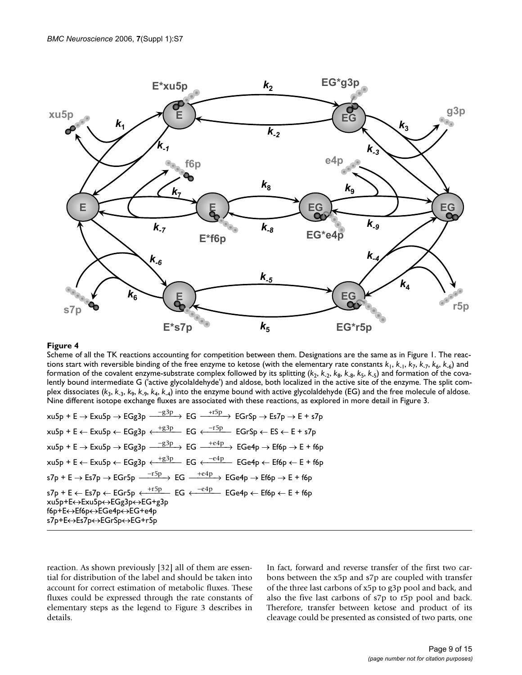

#### **Figure 4**

Scheme of all the TK reactions accounting for competition between them. Designations are the same as in Figure 1. The reactions start with reversible binding of the free enzyme to ketose (with the elementary rate constants  $k_1, k_1, k_2, k_3, k_4, k_6$ ) and formation of the covalent enzyme-substrate complex followed by its splitting  $(k_2, k_2, k_8, k_8, k_5, k_5)$  and formation of the covalently bound intermediate G ('active glycolaldehyde') and aldose, both localized in the active site of the enzyme. The split complex dissociates (k<sub>3</sub>, k<sub>3</sub>, k<sub>9</sub>, k<sub>9</sub>, k<sub>4</sub>, k<sub>4</sub>) into the enzyme bound with active glycolaldehyde (EG) and the free molecule of aldose. Nine different isotope exchange fluxes are associated with these reactions, as explored in more detail in Figure 3.

$$
xu5p + E \rightarrow Exu5p \rightarrow EGg3p \xrightarrow{-g3p} EG \xrightarrow{+r5p} EGrSp \rightarrow Es7p \rightarrow E+ s7p
$$
  
\n
$$
xu5p + E \leftarrow Exu5p \leftarrow EGg3p \xrightarrow{-g3p} EG \xrightarrow{+e4p} EGrSp \leftarrow ES \leftarrow E+ s7p
$$
  
\n
$$
xu5p + E \rightarrow Exu5p \rightarrow EGg3p \xrightarrow{-g3p} EG \xrightarrow{+e4p} EGe4p \rightarrow Ef6p \rightarrow E+ f6p
$$
  
\n
$$
xu5p + E \leftarrow Exu5p \leftarrow EGg3p \xrightarrow{+g3p} EG \xrightarrow{-e4p} EGe4p \leftarrow Ef6p \leftarrow E+ f6p
$$
  
\n
$$
s7p + E \rightarrow Es7p \rightarrow EGr5p \xrightarrow{-r5p} EG \xrightarrow{+e4p} EGe4p \rightarrow Ef6p \rightarrow E+ f6p
$$
  
\n
$$
s7p + E \leftarrow Es7p \leftarrow EGr5p \xrightarrow{+r5p} EG \xrightarrow{+e4p} EGe4p \leftarrow Ef6p \leftarrow E+ f6p
$$
  
\n
$$
xu5p + E \leftrightarrow Exu5p \leftrightarrow EGr5p \xrightarrow{+r5p} EG \xrightarrow{-e4p} EGe4p \leftarrow Ef6p \leftarrow E+ f6p
$$
  
\n
$$
xu5p + E \leftrightarrow Exu5p \leftrightarrow EGr5p \xrightarrow{+r5p} EG \xrightarrow{-e4p} EGe4p \leftarrow Ef6p \leftarrow E+ f6p
$$
  
\n
$$
s7p + E \leftrightarrow Efr \leftrightarrow EGr5p \leftrightarrow EGr5p \leftrightarrow EGr5p
$$

 $\sigma$ <sup>2</sup> $\sim$ 

reaction. As shown previously [32] all of them are essential for distribution of the label and should be taken into account for correct estimation of metabolic fluxes. These fluxes could be expressed through the rate constants of elementary steps as the legend to Figure 3 describes in details.

In fact, forward and reverse transfer of the first two carbons between the x5p and s7p are coupled with transfer of the three last carbons of x5p to g3p pool and back, and also the five last carbons of s7p to r5p pool and back. Therefore, transfer between ketose and product of its cleavage could be presented as consisted of two parts, one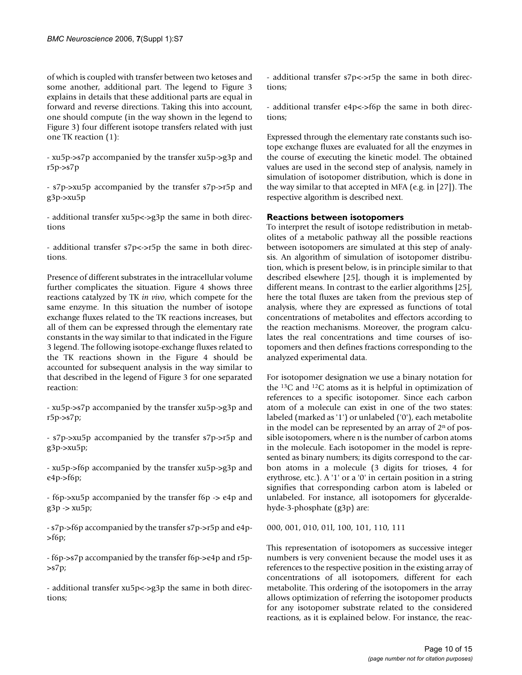of which is coupled with transfer between two ketoses and some another, additional part. The legend to Figure 3 explains in details that these additional parts are equal in forward and reverse directions. Taking this into account, one should compute (in the way shown in the legend to Figure 3) four different isotope transfers related with just one TK reaction (1):

- xu5p->s7p accompanied by the transfer xu5p->g3p and r5p->s7p

- s7p->xu5p accompanied by the transfer s7p->r5p and g3p->xu5p

- additional transfer xu5p<->g3p the same in both directions

- additional transfer s7p<->r5p the same in both directions.

Presence of different substrates in the intracellular volume further complicates the situation. Figure 4 shows three reactions catalyzed by TK *in vivo*, which compete for the same enzyme. In this situation the number of isotope exchange fluxes related to the TK reactions increases, but all of them can be expressed through the elementary rate constants in the way similar to that indicated in the Figure 3 legend. The following isotope-exchange fluxes related to the TK reactions shown in the Figure 4 should be accounted for subsequent analysis in the way similar to that described in the legend of Figure 3 for one separated reaction:

- xu5p->s7p accompanied by the transfer xu5p->g3p and r5p->s7p;

- s7p->xu5p accompanied by the transfer s7p->r5p and  $g3p\rightarrow xu5p$ ;

- xu5p->f6p accompanied by the transfer xu5p->g3p and e4p->f6p;

- f6p->xu5p accompanied by the transfer f6p -> e4p and  $g3p \rightarrow xu5p$ ;

- s7p->f6p accompanied by the transfer s7p->r5p and e4p-  $>$ f6p;

- f6p->s7p accompanied by the transfer f6p->e4p and r5p-  $>$ s7p;

- additional transfer xu5p<->g3p the same in both directions;

- additional transfer s7p<->r5p the same in both directions;

- additional transfer e4p<->f6p the same in both directions;

Expressed through the elementary rate constants such isotope exchange fluxes are evaluated for all the enzymes in the course of executing the kinetic model. The obtained values are used in the second step of analysis, namely in simulation of isotopomer distribution, which is done in the way similar to that accepted in MFA (e.g. in [27]). The respective algorithm is described next.

# **Reactions between isotopomers**

To interpret the result of isotope redistribution in metabolites of a metabolic pathway all the possible reactions between isotopomers are simulated at this step of analysis. An algorithm of simulation of isotopomer distribution, which is present below, is in principle similar to that described elsewhere [25], though it is implemented by different means. In contrast to the earlier algorithms [25], here the total fluxes are taken from the previous step of analysis, where they are expressed as functions of total concentrations of metabolites and effectors according to the reaction mechanisms. Moreover, the program calculates the real concentrations and time courses of isotopomers and then defines fractions corresponding to the analyzed experimental data.

For isotopomer designation we use a binary notation for the 13C and 12C atoms as it is helpful in optimization of references to a specific isotopomer. Since each carbon atom of a molecule can exist in one of the two states: labeled (marked as '1') or unlabeled ('0'), each metabolite in the model can be represented by an array of  $2<sup>n</sup>$  of possible isotopomers, where n is the number of carbon atoms in the molecule. Each isotopomer in the model is represented as binary numbers; its digits correspond to the carbon atoms in a molecule (3 digits for trioses, 4 for erythrose, etc.). A '1' or a '0' in certain position in a string signifies that corresponding carbon atom is labeled or unlabeled. For instance, all isotopomers for glyceraldehyde-3-phosphate (g3p) are:

000, 001, 010, 01l, 100, 101, 110, 111

This representation of isotopomers as successive integer numbers is very convenient because the model uses it as references to the respective position in the existing array of concentrations of all isotopomers, different for each metabolite. This ordering of the isotopomers in the array allows optimization of referring the isotopomer products for any isotopomer substrate related to the considered reactions, as it is explained below. For instance, the reac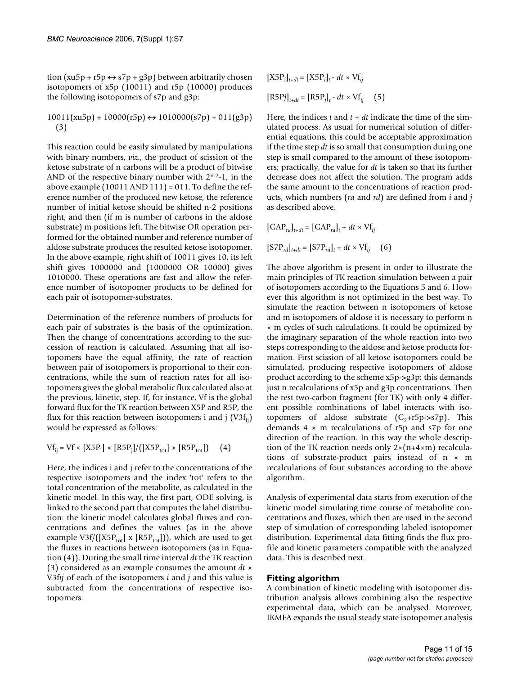tion (xu5p + r5p  $\leftrightarrow$  s7p + g3p) between arbitrarily chosen isotopomers of x5p (10011) and r5p (10000) produces the following isotopomers of s7p and g3p:

$$
10011(xu5p) + 10000(r5p) \leftrightarrow 1010000(s7p) + 011(g3p)
$$
  
(3)

This reaction could be easily simulated by manipulations with binary numbers, *viz*., the product of scission of the ketose substrate of n carbons will be a product of bitwise AND of the respective binary number with 2n-2-1, in the above example  $(10011$  AND  $111$ ) = 011. To define the reference number of the produced new ketose, the reference number of initial ketose should be shifted n-2 positions right, and then (if m is number of carbons in the aldose substrate) m positions left. The bitwise OR operation performed for the obtained number and reference number of aldose substrate produces the resulted ketose isotopomer. In the above example, right shift of 10011 gives 10, its left shift gives 1000000 and (1000000 OR 10000) gives 1010000. These operations are fast and allow the reference number of isotopomer products to be defined for each pair of isotopomer-substrates.

Determination of the reference numbers of products for each pair of substrates is the basis of the optimization. Then the change of concentrations according to the succession of reaction is calculated. Assuming that all isotopomers have the equal affinity, the rate of reaction between pair of isotopomers is proportional to their concentrations, while the sum of reaction rates for all isotopomers gives the global metabolic flux calculated also at the previous, kinetic, step. If, for instance, Vf is the global forward flux for the TK reaction between X5P and R5P, the flux for this reaction between isotopomers i and j (V3 $f_{ij}$ ) would be expressed as follows:

$$
Vf_{ij} = Vf \times [X5P_i] \times [R5P_j]/([X5P_{tot}] \times [R5P_{tot}])
$$
 (4)

Here, the indices i and j refer to the concentrations of the respective isotopomers and the index 'tot' refers to the total concentration of the metabolite, as calculated in the kinetic model. In this way, the first part, ODE solving, is linked to the second part that computes the label distribution: the kinetic model calculates global fluxes and concentrations and defines the values (as in the above example V3f/([X5P<sub>tot</sub>] x [R5P<sub>tot</sub>])), which are used to get the fluxes in reactions between isotopomers (as in Equation (4)). During the small time interval *dt* the TK reaction (3) considered as an example consumes the amount *dt* × V3f*ij* of each of the isotopomers *i* and *j* and this value is subtracted from the concentrations of respective isotopomers.

$$
[\text{X5P}_i]_{t+dt} = [\text{X5P}_i]_t - dt \times \text{Vf}_{ij}
$$
  

$$
[\text{R5P}_j]_{t+dt} = [\text{R5P}_j]_t - dt \times \text{Vf}_{ij} \qquad (5)
$$

Here, the indices  $t$  and  $t + dt$  indicate the time of the simulated process. As usual for numerical solution of differential equations, this could be acceptable approximation if the time step *dt* is so small that consumption during one step is small compared to the amount of these isotopomers; practically, the value for *dt* is taken so that its further decrease does not affect the solution. The program adds the same amount to the concentrations of reaction products, which numbers (*ra* and *rd*) are defined from *i* and *j* as described above.

$$
[GAPralt+dt = [GAPralt + dt \times Vfij
$$
  
[S7P<sub>rd</sub><sub>t+dt</sub> = [S7P<sub>rd</sub><sub>t</sub><sub>t</sub> + dt \times Vf<sub>ij</sub> (6)

The above algorithm is present in order to illustrate the main principles of TK reaction simulation between a pair of isotopomers according to the Equations 5 and 6. However this algorithm is not optimized in the best way. To simulate the reaction between n isotopomers of ketose and m isotopomers of aldose it is necessary to perform n × m cycles of such calculations. It could be optimized by the imaginary separation of the whole reaction into two steps corresponding to the aldose and ketose products formation. First scission of all ketose isotopomers could be simulated, producing respective isotopomers of aldose product according to the scheme x5p->g3p; this demands just n recalculations of x5p and g3p concentrations. Then the rest two-carbon fragment (for TK) with only 4 different possible combinations of label interacts with isotopomers of aldose substrate  $(C_2+r5p-87p)$ . This demands 4 × m recalculations of r5p and s7p for one direction of the reaction. In this way the whole description of the TK reaction needs only  $2\times(n+4\times m)$  recalculations of substrate-product pairs instead of n × m recalculations of four substances according to the above algorithm.

Analysis of experimental data starts from execution of the kinetic model simulating time course of metabolite concentrations and fluxes, which then are used in the second step of simulation of corresponding labeled isotopomer distribution. Experimental data fitting finds the flux profile and kinetic parameters compatible with the analyzed data. This is described next.

#### **Fitting algorithm**

A combination of kinetic modeling with isotopomer distribution analysis allows combining also the respective experimental data, which can be analysed. Moreover, IKMFA expands the usual steady state isotopomer analysis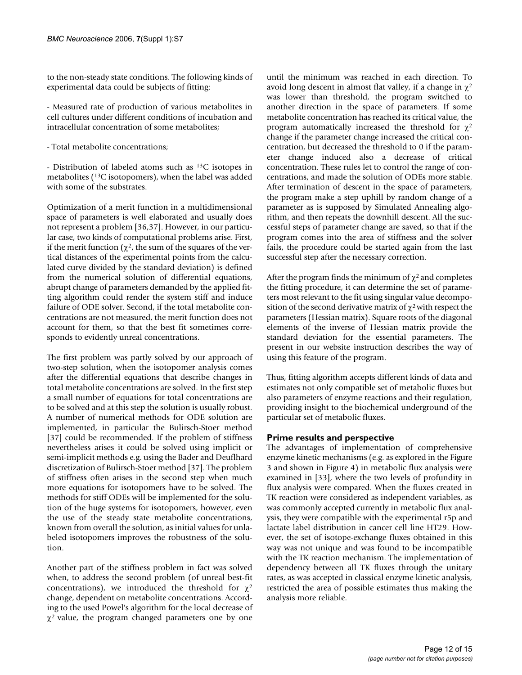to the non-steady state conditions. The following kinds of experimental data could be subjects of fitting:

- Measured rate of production of various metabolites in cell cultures under different conditions of incubation and intracellular concentration of some metabolites;

- Total metabolite concentrations;

- Distribution of labeled atoms such as 13C isotopes in metabolites (13C isotopomers), when the label was added with some of the substrates.

Optimization of a merit function in a multidimensional space of parameters is well elaborated and usually does not represent a problem [36,37]. However, in our particular case, two kinds of computational problems arise. First, if the merit function ( $\chi^2$ , the sum of the squares of the vertical distances of the experimental points from the calculated curve divided by the standard deviation) is defined from the numerical solution of differential equations, abrupt change of parameters demanded by the applied fitting algorithm could render the system stiff and induce failure of ODE solver. Second, if the total metabolite concentrations are not measured, the merit function does not account for them, so that the best fit sometimes corresponds to evidently unreal concentrations.

The first problem was partly solved by our approach of two-step solution, when the isotopomer analysis comes after the differential equations that describe changes in total metabolite concentrations are solved. In the first step a small number of equations for total concentrations are to be solved and at this step the solution is usually robust. A number of numerical methods for ODE solution are implemented, in particular the Bulirsch-Stoer method [37] could be recommended. If the problem of stiffness nevertheless arises it could be solved using implicit or semi-implicit methods e.g. using the Bader and Deuflhard discretization of Bulirsch-Stoer method [37]. The problem of stiffness often arises in the second step when much more equations for isotopomers have to be solved. The methods for stiff ODEs will be implemented for the solution of the huge systems for isotopomers, however, even the use of the steady state metabolite concentrations, known from overall the solution, as initial values for unlabeled isotopomers improves the robustness of the solution.

Another part of the stiffness problem in fact was solved when, to address the second problem (of unreal best-fit concentrations), we introduced the threshold for  $\chi^2$ change, dependent on metabolite concentrations. According to the used Powel's algorithm for the local decrease of  $\chi^2$  value, the program changed parameters one by one until the minimum was reached in each direction. To avoid long descent in almost flat valley, if a change in  $\chi^2$ was lower than threshold, the program switched to another direction in the space of parameters. If some metabolite concentration has reached its critical value, the program automatically increased the threshold for  $\chi^2$ change if the parameter change increased the critical concentration, but decreased the threshold to 0 if the parameter change induced also a decrease of critical concentration. These rules let to control the range of concentrations, and made the solution of ODEs more stable. After termination of descent in the space of parameters, the program make a step uphill by random change of a parameter as is supposed by Simulated Annealing algorithm, and then repeats the downhill descent. All the successful steps of parameter change are saved, so that if the program comes into the area of stiffness and the solver fails, the procedure could be started again from the last successful step after the necessary correction.

After the program finds the minimum of  $\chi^2$  and completes the fitting procedure, it can determine the set of parameters most relevant to the fit using singular value decomposition of the second derivative matrix of  $\chi^2$  with respect the parameters (Hessian matrix). Square roots of the diagonal elements of the inverse of Hessian matrix provide the standard deviation for the essential parameters. The present in our website instruction describes the way of using this feature of the program.

Thus, fitting algorithm accepts different kinds of data and estimates not only compatible set of metabolic fluxes but also parameters of enzyme reactions and their regulation, providing insight to the biochemical underground of the particular set of metabolic fluxes.

# **Prime results and perspective**

The advantages of implementation of comprehensive enzyme kinetic mechanisms (e.g. as explored in the Figure 3 and shown in Figure 4) in metabolic flux analysis were examined in [33], where the two levels of profundity in flux analysis were compared. When the fluxes created in TK reaction were considered as independent variables, as was commonly accepted currently in metabolic flux analysis, they were compatible with the experimental r5p and lactate label distribution in cancer cell line HT29. However, the set of isotope-exchange fluxes obtained in this way was not unique and was found to be incompatible with the TK reaction mechanism. The implementation of dependency between all TK fluxes through the unitary rates, as was accepted in classical enzyme kinetic analysis, restricted the area of possible estimates thus making the analysis more reliable.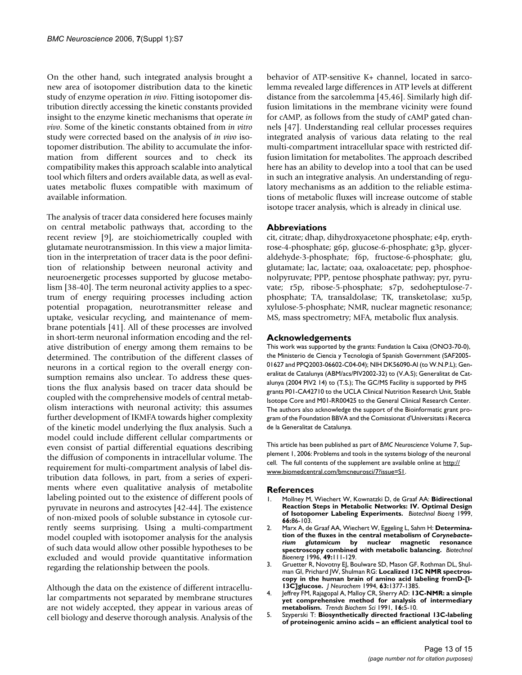On the other hand, such integrated analysis brought a new area of isotopomer distribution data to the kinetic study of enzyme operation *in vivo*. Fitting isotopomer distribution directly accessing the kinetic constants provided insight to the enzyme kinetic mechanisms that operate *in vivo*. Some of the kinetic constants obtained from *in vitro* study were corrected based on the analysis of *in vivo* isotopomer distribution. The ability to accumulate the information from different sources and to check its compatibility makes this approach scalable into analytical tool which filters and orders available data, as well as evaluates metabolic fluxes compatible with maximum of available information.

The analysis of tracer data considered here focuses mainly on central metabolic pathways that, according to the recent review [9], are stoichiometrically coupled with glutamate neurotransmission. In this view a major limitation in the interpretation of tracer data is the poor definition of relationship between neuronal activity and neuroenergetic processes supported by glucose metabolism [38-40]. The term neuronal activity applies to a spectrum of energy requiring processes including action potential propagation, neurotransmitter release and uptake, vesicular recycling, and maintenance of membrane potentials [41]. All of these processes are involved in short-term neuronal information encoding and the relative distribution of energy among them remains to be determined. The contribution of the different classes of neurons in a cortical region to the overall energy consumption remains also unclear. To address these questions the flux analysis based on tracer data should be coupled with the comprehensive models of central metabolism interactions with neuronal activity; this assumes further development of IKMFA towards higher complexity of the kinetic model underlying the flux analysis. Such a model could include different cellular compartments or even consist of partial differential equations describing the diffusion of components in intracellular volume. The requirement for multi-compartment analysis of label distribution data follows, in part, from a series of experiments where even qualitative analysis of metabolite labeling pointed out to the existence of different pools of pyruvate in neurons and astrocytes [42-44]. The existence of non-mixed pools of soluble substance in cytosole currently seems surprising. Using a multi-compartment model coupled with isotopomer analysis for the analysis of such data would allow other possible hypotheses to be excluded and would provide quantitative information regarding the relationship between the pools.

Although the data on the existence of different intracellular compartments not separated by membrane structures are not widely accepted, they appear in various areas of cell biology and deserve thorough analysis. Analysis of the behavior of ATP-sensitive K+ channel, located in sarcolemma revealed large differences in ATP levels at different distance from the sarcolemma [45,46]. Similarly high diffusion limitations in the membrane vicinity were found for cAMP, as follows from the study of cAMP gated channels [47]. Understanding real cellular processes requires integrated analysis of various data relating to the real multi-compartment intracellular space with restricted diffusion limitation for metabolites. The approach described here has an ability to develop into a tool that can be used in such an integrative analysis. An understanding of regulatory mechanisms as an addition to the reliable estimations of metabolic fluxes will increase outcome of stable isotope tracer analysis, which is already in clinical use.

## **Abbreviations**

cit, citrate; dhap, dihydroxyacetone phosphate; e4p, erythrose-4-phosphate; g6p, glucose-6-phosphate; g3p, glyceraldehyde-3-phosphate; f6p, fructose-6-phosphate; glu, glutamate; lac, lactate; oaa, oxaloacetate; pep, phosphoenolpyruvate; PPP, pentose phosphate pathway; pyr, pyruvate; r5p, ribose-5-phosphate; s7p, sedoheptulose-7 phosphate; TA, transaldolase; TK, transketolase; xu5p, xylulose-5-phosphate; NMR, nuclear magnetic resonance; MS, mass spectrometry; MFA, metabolic flux analysis.

#### **Acknowledgements**

This work was supported by the grants: Fundation la Caixa (ONO3-70-0), the Ministerio de Ciencia y Tecnologia of Spanish Government (SAF2005- 01627 and PPQ2003-06602-C04-04); NIH DK56090-Al (to W.N.P.L); Generalitat de Catalunya (ABM/acs/PIV2002-32) to (V.A.S); Generalitat de Catalunya (2004 PIV2 14) to (T.S.); The GC/MS Facility is supported by PHS grants P01-CA42710 to the UCLA Clinical Nutrition Research Unit, Stable Isotope Core and M01-RR00425 to the General Clinical Research Center. The authors also acknowledge the support of the Bioinformatic grant program of the Foundation BBVA and the Comissionat d'Universitats i Recerca de la Generalitat de Catalunya.

This article has been published as part of *BMC Neuroscience* Volume 7, Supplement 1, 2006: Problems and tools in the systems biology of the neuronal cell. The full contents of the supplement are available online at [http://](http://www.biomedcentral.com/bmcneurosci/7?issue=S1) [www.biomedcentral.com/bmcneurosci/7?issue=S1](http://www.biomedcentral.com/bmcneurosci/7?issue=S1).

#### **References**

- 1. Mollney M, Wiechert W, Kownatzki D, de Graaf AA: **[Bidirectional](http://www.ncbi.nlm.nih.gov/entrez/query.fcgi?cmd=Retrieve&db=PubMed&dopt=Abstract&list_uids=10567067) [Reaction Steps in Metabolic Networks: IV. Optimal Design](http://www.ncbi.nlm.nih.gov/entrez/query.fcgi?cmd=Retrieve&db=PubMed&dopt=Abstract&list_uids=10567067) [of Isotopomer Labeling Experiments.](http://www.ncbi.nlm.nih.gov/entrez/query.fcgi?cmd=Retrieve&db=PubMed&dopt=Abstract&list_uids=10567067)** *Biotechnol Bioeng* 1999, **66:**86-103.
- 2. Marx A, de Graaf AA, Wiechert W, Eggeling L, Sahm H: **Determination of the fluxes in the central metabolism of** *Corynebacterium glutamicum* **by nuclear magnetic resonance spectroscopy combined with metabolic balancing.** *Biotechnol Bioenerg* 1996, **49:**111-129.
- 3. Gruetter R, Novotny EJ, Boulware SD, Mason GF, Rothman DL, Shulman GI, Prichard JW, Shulman RG: **[Localized 13C NMR spectros](http://www.ncbi.nlm.nih.gov/entrez/query.fcgi?cmd=Retrieve&db=PubMed&dopt=Abstract&list_uids=7931289)[copy in the human brain of amino acid labeling fromD-\[l-](http://www.ncbi.nlm.nih.gov/entrez/query.fcgi?cmd=Retrieve&db=PubMed&dopt=Abstract&list_uids=7931289)[13C\]glucose.](http://www.ncbi.nlm.nih.gov/entrez/query.fcgi?cmd=Retrieve&db=PubMed&dopt=Abstract&list_uids=7931289)** *J Neurochem* 1994, **63:**1377-1385.
- 4. Jeffrey FM, Rajagopal A, Malloy CR, Sherry AD: **[13C-NMR: a simple](http://www.ncbi.nlm.nih.gov/entrez/query.fcgi?cmd=Retrieve&db=PubMed&dopt=Abstract&list_uids=2053137) [yet comprehensive method for analysis of intermediary](http://www.ncbi.nlm.nih.gov/entrez/query.fcgi?cmd=Retrieve&db=PubMed&dopt=Abstract&list_uids=2053137) [metabolism.](http://www.ncbi.nlm.nih.gov/entrez/query.fcgi?cmd=Retrieve&db=PubMed&dopt=Abstract&list_uids=2053137)** *Trends Biochem Sci* 1991, **16:**5-10.
- 5. Szyperski T: **[Biosynthetically directed fractional 13C-labeling](http://www.ncbi.nlm.nih.gov/entrez/query.fcgi?cmd=Retrieve&db=PubMed&dopt=Abstract&list_uids=7556192) [of proteinogenic amino acids – an efficient analytical tool to](http://www.ncbi.nlm.nih.gov/entrez/query.fcgi?cmd=Retrieve&db=PubMed&dopt=Abstract&list_uids=7556192)**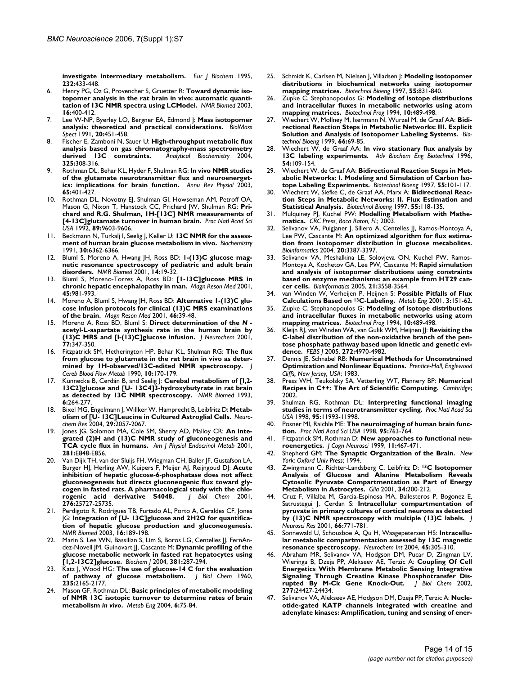**[investigate intermediary metabolism.](http://www.ncbi.nlm.nih.gov/entrez/query.fcgi?cmd=Retrieve&db=PubMed&dopt=Abstract&list_uids=7556192)** *Eur J Biochem* 1995, **232:**433-448.

- 6. Henry PG, Oz G, Provencher S, Gruetter R: **[Toward dynamic iso](http://www.ncbi.nlm.nih.gov/entrez/query.fcgi?cmd=Retrieve&db=PubMed&dopt=Abstract&list_uids=14679502)[topomer analysis in the rat brain in vivo: automatic quanti](http://www.ncbi.nlm.nih.gov/entrez/query.fcgi?cmd=Retrieve&db=PubMed&dopt=Abstract&list_uids=14679502)[tation of 13C NMR spectra using LCModel.](http://www.ncbi.nlm.nih.gov/entrez/query.fcgi?cmd=Retrieve&db=PubMed&dopt=Abstract&list_uids=14679502)** *NMR Biomed* 2003, **16:**400-412.
- 7. Lee W-NP, Byerley LO, Bergner EA, Edmond J: **Mass isotopomer analysis: theoretical and practical considerations.** *BiolMass Spect* 1991, **20:**451-458.
- 8. Fischer E, Zamboni N, Sauer U: **[High-throughput metabolic flux](http://www.ncbi.nlm.nih.gov/entrez/query.fcgi?cmd=Retrieve&db=PubMed&dopt=Abstract&list_uids=14751266) [analysis based on gas chromatography-mass spectrometry](http://www.ncbi.nlm.nih.gov/entrez/query.fcgi?cmd=Retrieve&db=PubMed&dopt=Abstract&list_uids=14751266) [derived 13C constraints.](http://www.ncbi.nlm.nih.gov/entrez/query.fcgi?cmd=Retrieve&db=PubMed&dopt=Abstract&list_uids=14751266)** *Analytical Biochemistry* 2004, **325:**308-316.
- 9. Rothman DL, Behar KL, Hyder F, Shulman RG: **[In vivo NMR studies](http://www.ncbi.nlm.nih.gov/entrez/query.fcgi?cmd=Retrieve&db=PubMed&dopt=Abstract&list_uids=12524459) [of the glutamate neurotransmitter flux and neuroenerget](http://www.ncbi.nlm.nih.gov/entrez/query.fcgi?cmd=Retrieve&db=PubMed&dopt=Abstract&list_uids=12524459)[ics: implications for brain function.](http://www.ncbi.nlm.nih.gov/entrez/query.fcgi?cmd=Retrieve&db=PubMed&dopt=Abstract&list_uids=12524459)** *Annu Rev Physiol* 2003, **65:**401-427.
- 10. Rothman DL, Novotny EJ, Shulman GI, Howseman AM, Petroff OA, Mason G, Nixon T, Hanstock CC, Prichard JW, Shulman RG: **[Pri](http://www.ncbi.nlm.nih.gov/entrez/query.fcgi?cmd=Retrieve&db=PubMed&dopt=Abstract&list_uids=1409672)[chard and R.G. Shulman, 1H-\[13C\] NMR measurements of](http://www.ncbi.nlm.nih.gov/entrez/query.fcgi?cmd=Retrieve&db=PubMed&dopt=Abstract&list_uids=1409672) [\[4-13C\]glutamate turnover in human brain.](http://www.ncbi.nlm.nih.gov/entrez/query.fcgi?cmd=Retrieve&db=PubMed&dopt=Abstract&list_uids=1409672)** *Proc Natl Acad Sci USA* 1992, **89:**9603-9606.
- 11. Beckmann N, Turkalj I, Seelig J, Keller U: **[13C NMR for the assess](http://www.ncbi.nlm.nih.gov/entrez/query.fcgi?cmd=Retrieve&db=PubMed&dopt=Abstract&list_uids=2054342)[ment of human brain glucose metabolism in vivo.](http://www.ncbi.nlm.nih.gov/entrez/query.fcgi?cmd=Retrieve&db=PubMed&dopt=Abstract&list_uids=2054342)** *Biochemistry* 1991, **30:**6362-6366.
- 12. Bluml S, Moreno A, Hwang JH, Ross BD: **[1-\(13\)C glucose mag](http://www.ncbi.nlm.nih.gov/entrez/query.fcgi?cmd=Retrieve&db=PubMed&dopt=Abstract&list_uids=11252037)[netic resonance spectroscopy of pediatric and adult brain](http://www.ncbi.nlm.nih.gov/entrez/query.fcgi?cmd=Retrieve&db=PubMed&dopt=Abstract&list_uids=11252037) [disorders.](http://www.ncbi.nlm.nih.gov/entrez/query.fcgi?cmd=Retrieve&db=PubMed&dopt=Abstract&list_uids=11252037)** *NMR Biomed* 2001, **14:**19-32.
- 13. Bluml S, Moreno-Torres A, Ross BD: **[\[1-13C\]glucose MRS in](http://www.ncbi.nlm.nih.gov/entrez/query.fcgi?cmd=Retrieve&db=PubMed&dopt=Abstract&list_uids=11378875) [chronic hepatic encephalopathy in man.](http://www.ncbi.nlm.nih.gov/entrez/query.fcgi?cmd=Retrieve&db=PubMed&dopt=Abstract&list_uids=11378875)** *Magn Reson Med* 2001, **45:**981-993.
- 14. Moreno A, Bluml S, Hwang JH, Ross BD: **[Alternative 1-\(13\)C glu](http://www.ncbi.nlm.nih.gov/entrez/query.fcgi?cmd=Retrieve&db=PubMed&dopt=Abstract&list_uids=11443709)[cose infusion protocols for clinical \(13\)C MRS examinations](http://www.ncbi.nlm.nih.gov/entrez/query.fcgi?cmd=Retrieve&db=PubMed&dopt=Abstract&list_uids=11443709) [of the brain.](http://www.ncbi.nlm.nih.gov/entrez/query.fcgi?cmd=Retrieve&db=PubMed&dopt=Abstract&list_uids=11443709)** *Magn Reson Med* 2001, **46:**39-48.
- <span id="page-13-0"></span>15. Moreno A, Ross BD, Bluml S: **Direct determination of the** *N*  **[acetyl-L-aspartate synthesis rate in the human brain by](http://www.ncbi.nlm.nih.gov/entrez/query.fcgi?cmd=Retrieve&db=PubMed&dopt=Abstract&list_uids=11279290) [\(13\)C MRS and \[l-\(13\)C\]glucose infusion.](http://www.ncbi.nlm.nih.gov/entrez/query.fcgi?cmd=Retrieve&db=PubMed&dopt=Abstract&list_uids=11279290)** *J Neurochem* 2001, **77:**347-350.
- 16. Fitzpatrick SM, Hetherington HP, Behar KL, Shulman RG: **[The flux](http://www.ncbi.nlm.nih.gov/entrez/query.fcgi?cmd=Retrieve&db=PubMed&dopt=Abstract&list_uids=1968068) [from glucose to glutamate in the rat brain in vivo as deter](http://www.ncbi.nlm.nih.gov/entrez/query.fcgi?cmd=Retrieve&db=PubMed&dopt=Abstract&list_uids=1968068)[mined by 1H-observed/13C-edited NMR spectroscopy.](http://www.ncbi.nlm.nih.gov/entrez/query.fcgi?cmd=Retrieve&db=PubMed&dopt=Abstract&list_uids=1968068)** *J Cereb Blood Flow Metab* 1990, **10:**170-179.
- 17. Künnecke B, Cerdán B, and Seelig J: **[Cerebal metabolism of \[l,2-](http://www.ncbi.nlm.nih.gov/entrez/query.fcgi?cmd=Retrieve&db=PubMed&dopt=Abstract&list_uids=8105858) [13C2\]glucose and \[U- 13C4\]3-hydroxybutyrate in rat brain](http://www.ncbi.nlm.nih.gov/entrez/query.fcgi?cmd=Retrieve&db=PubMed&dopt=Abstract&list_uids=8105858) [as detected by 13C NMR spectroscopy.](http://www.ncbi.nlm.nih.gov/entrez/query.fcgi?cmd=Retrieve&db=PubMed&dopt=Abstract&list_uids=8105858)** *NMR Biomed* 1993, **6:**264-277.
- 18. Bixel MG, Engelmann J, Willker W, Hamprecht B, Leibfritz D: **[Metab](http://www.ncbi.nlm.nih.gov/entrez/query.fcgi?cmd=Retrieve&db=PubMed&dopt=Abstract&list_uids=15662840)[olism of \[U- 13C\]Leucine in Cultured Astroglial Cells.](http://www.ncbi.nlm.nih.gov/entrez/query.fcgi?cmd=Retrieve&db=PubMed&dopt=Abstract&list_uids=15662840)** *Neurochem Res* 2004, **29:**2057-2067.
- 19. Jones JG, Solomon MA, Cole SM, Sherry AD, Malloy CR: **[An inte](http://www.ncbi.nlm.nih.gov/entrez/query.fcgi?cmd=Retrieve&db=PubMed&dopt=Abstract&list_uids=11551863)[grated \(2\)H and \(13\)C NMR study of gluconeogenesis and](http://www.ncbi.nlm.nih.gov/entrez/query.fcgi?cmd=Retrieve&db=PubMed&dopt=Abstract&list_uids=11551863) [TCA cycle flux in humans.](http://www.ncbi.nlm.nih.gov/entrez/query.fcgi?cmd=Retrieve&db=PubMed&dopt=Abstract&list_uids=11551863)** *Am J Physiol Endocrinol Metab* 2001, **281:**E848-E856.
- 20. Van Dijk TH, van der Sluijs FH, Wiegman CH, Baller JF, Gustafson LA, Burger HJ, Herling AW, Kuipers F, Meijer AJ, Reijngoud DJ: **[Acute](http://www.ncbi.nlm.nih.gov/entrez/query.fcgi?cmd=Retrieve&db=PubMed&dopt=Abstract&list_uids=11346646) [inhibition of hepatic glucose-6-phosphatase does not affect](http://www.ncbi.nlm.nih.gov/entrez/query.fcgi?cmd=Retrieve&db=PubMed&dopt=Abstract&list_uids=11346646) gluconeogenesis but directs gluconeogenic flux toward glycogen in fasted rats. A pharmacological study with the chlo-<br>
<b>rogenic** acid derivative **S4048.** / Biol Chem 2001, [rogenic acid derivative S4048.](http://www.ncbi.nlm.nih.gov/entrez/query.fcgi?cmd=Retrieve&db=PubMed&dopt=Abstract&list_uids=11346646) **276:**25727-25735.
- 21. Perdigoto R, Rodrigues TB, Furtado AL, Porto A, Geraldes CF, Jones JG: **[Integration of \[U- 13C\]glucose and 2H2O for quantifica](http://www.ncbi.nlm.nih.gov/entrez/query.fcgi?cmd=Retrieve&db=PubMed&dopt=Abstract&list_uids=14558117)[tion of hepatic glucose production and gluconeogenesis.](http://www.ncbi.nlm.nih.gov/entrez/query.fcgi?cmd=Retrieve&db=PubMed&dopt=Abstract&list_uids=14558117)** *NMR Biomed* 2003, **16:**189-198.
- 22. Marin S, Lee WN, Bassilian S, Lim S, Boros LG, Centelles JJ, FernAndez-Novell JM, Guinovart JJ, Cascante M: **[Dynamic profiling of the](http://www.ncbi.nlm.nih.gov/entrez/query.fcgi?cmd=Retrieve&db=PubMed&dopt=Abstract&list_uids=15032751) [glucose metabolic network in fasted rat hepatocytes using](http://www.ncbi.nlm.nih.gov/entrez/query.fcgi?cmd=Retrieve&db=PubMed&dopt=Abstract&list_uids=15032751) [\[1,2-13C2\]glucose.](http://www.ncbi.nlm.nih.gov/entrez/query.fcgi?cmd=Retrieve&db=PubMed&dopt=Abstract&list_uids=15032751)** *Biochem J* 2004, **381:**287-294.
- 23. Katz J, Wood HG: **[The use of glucose-14 C for the evaluation](http://www.ncbi.nlm.nih.gov/entrez/query.fcgi?cmd=Retrieve&db=PubMed&dopt=Abstract&list_uids=14404802) [of pathway of glucose metabolism.](http://www.ncbi.nlm.nih.gov/entrez/query.fcgi?cmd=Retrieve&db=PubMed&dopt=Abstract&list_uids=14404802)** *J Biol Chem* 1960, **235:**2165-2177.
- 24. Mason GF, Rothman DL: **Basic principles of metabolic modeling of NMR 13C isotopic turnover to determine rates of brain metabolism** *in vivo***[.](http://www.ncbi.nlm.nih.gov/entrez/query.fcgi?cmd=Retrieve&db=PubMed&dopt=Abstract&list_uids=14734257)** *Metab Eng* 2004, **6:**75-84.
- 25. Schmidt K, Carlsen M, Nielsen J, Villadsen J: **Modeling isotopomer distributions in biochemical networks using isotopomer mapping matrices.** *Biotechnol Bioeng* 1997, **55:**831-840.
- 26. Zupke C, Stephanopoulos G: **Modeling of isotope distributions and intracellular fluxes in metabolic networks using atom mapping matrices.** *Biotechnol Prog* 1994, **10:**489-498.
- 27. Wiechert W, Mollney M, Isermann N, Wurzel M, de Graaf AA: **[Bidi](http://www.ncbi.nlm.nih.gov/entrez/query.fcgi?cmd=Retrieve&db=PubMed&dopt=Abstract&list_uids=10567066)[rectional Reaction Steps in Metabolic Networks: III. Explicit](http://www.ncbi.nlm.nih.gov/entrez/query.fcgi?cmd=Retrieve&db=PubMed&dopt=Abstract&list_uids=10567066) [Solution and Analysis of Isotopomer Labeling Systems.](http://www.ncbi.nlm.nih.gov/entrez/query.fcgi?cmd=Retrieve&db=PubMed&dopt=Abstract&list_uids=10567066)** *Biotechnol Bioeng* 1999, **66:**69-85.
- 28. Wiechert W, de Graaf AA: **[In vivo stationary flux analysis by](http://www.ncbi.nlm.nih.gov/entrez/query.fcgi?cmd=Retrieve&db=PubMed&dopt=Abstract&list_uids=8623613) [13C labeling experiments.](http://www.ncbi.nlm.nih.gov/entrez/query.fcgi?cmd=Retrieve&db=PubMed&dopt=Abstract&list_uids=8623613)** *Adv Biochem Eng Biotechnol* 1996, **54:**109-154.
- 29. Wiechert W, de Graaf AA: **Bidirectional Reaction Steps in Metabolic Networks: I. Modeling and Simulation of Carbon Isotope Labeling Experiments.** *Biotechnol Bioeng* 1997, **55:**101-117.
- 30. Wiechert W, Siefke C, de Graaf AA, Marx A: **Bidirectional Reaction Steps in Metabolic Networks: II. Flux Estimation and Statistical Analysis.** *Biotechnol Bioeng* 1997, **55:**118-135.
- 31. Mulquiney PJ, Kuchel PW: **Modelling Metabolism with Mathematica.** *CRC Press, Boca Raton, FL*; 2003.
- 32. Selivanov VA, Puigjaner J, Sillero A, Centelles JJ, Ramos-Montoya A, Lee PW, Cascante M: **[An optimized algorithm for flux estima](http://www.ncbi.nlm.nih.gov/entrez/query.fcgi?cmd=Retrieve&db=PubMed&dopt=Abstract&list_uids=15256408)[tion from isotopomer distribution in glucose metabolites.](http://www.ncbi.nlm.nih.gov/entrez/query.fcgi?cmd=Retrieve&db=PubMed&dopt=Abstract&list_uids=15256408)** *Bioinformatics* 2004, **20:**3387-3397.
- Selivanov VA, Meshalkina LE, Solovjeva ON, Kuchel PW, Ramos-Montoya A, Kochetov GA, Lee PW, Cascante M: **[Rapid simulation](http://www.ncbi.nlm.nih.gov/entrez/query.fcgi?cmd=Retrieve&db=PubMed&dopt=Abstract&list_uids=16002431) [and analysis of isotopomer distributions using constraints](http://www.ncbi.nlm.nih.gov/entrez/query.fcgi?cmd=Retrieve&db=PubMed&dopt=Abstract&list_uids=16002431) based on enzyme mechanisms: an example from HT29 can[cer cells.](http://www.ncbi.nlm.nih.gov/entrez/query.fcgi?cmd=Retrieve&db=PubMed&dopt=Abstract&list_uids=16002431)** *Bioinformatics* 2005, **21:**3558-3564.
- 34. van Winden W, Verheijen P, Heijnen S: **Possible Pitfalls of Flux Calculations Based on 1[3C-Labeling.](http://www.ncbi.nlm.nih.gov/entrez/query.fcgi?cmd=Retrieve&db=PubMed&dopt=Abstract&list_uids=11289791)** *Metab Eng* 2001, **3:**151-62.
- 35. Zupke C, Stephanopoulos G: **Modeling of isotope distributions and intracellular fluxes in metabolic networks using atom mapping matrices.** *Biotechnol Prog* 1994, **10:**489-498.
- 36. Kleijn RJ, van Winden WA, van Gulik WM, Heijnen JJ: [Revisiting the](http://www.ncbi.nlm.nih.gov/entrez/query.fcgi?cmd=Retrieve&db=PubMed&dopt=Abstract&list_uids=16176270) **[C-label distribution of the non-oxidative branch of the pen](http://www.ncbi.nlm.nih.gov/entrez/query.fcgi?cmd=Retrieve&db=PubMed&dopt=Abstract&list_uids=16176270)tose phosphate pathway based upon kinetic and genetic evi[dence.](http://www.ncbi.nlm.nih.gov/entrez/query.fcgi?cmd=Retrieve&db=PubMed&dopt=Abstract&list_uids=16176270)** *FEBS J* 2005, **272:**4970-4982.
- 37. Dennis JE, Schnabel RB: **Numerical Methods for Unconstrained Optimization and Nonlinear Equations.** *Prentice-Hall, Englewood Cliffs, New Jersey, USA*; 1983.
- 38. Press WH, Teukolsky SA, Vetterling WT, Flannery BP: **Numerical Recipes in C++: The Art of Scientific Computing.** *Cambridge*; 2002.
- 39. Shulman RG, Rothman DL: **[Interpreting functional imaging](http://www.ncbi.nlm.nih.gov/entrez/query.fcgi?cmd=Retrieve&db=PubMed&dopt=Abstract&list_uids=9751778) [studies in terms of neurotransmitter cycling.](http://www.ncbi.nlm.nih.gov/entrez/query.fcgi?cmd=Retrieve&db=PubMed&dopt=Abstract&list_uids=9751778)** *Proc Natl Acad Sci USA* 1998, **95:**11993-11998.
- 40. Posner MI, Raichle ME: **[The neuroimaging of human brain func](http://www.ncbi.nlm.nih.gov/entrez/query.fcgi?cmd=Retrieve&db=PubMed&dopt=Abstract&list_uids=9448238)[tion.](http://www.ncbi.nlm.nih.gov/entrez/query.fcgi?cmd=Retrieve&db=PubMed&dopt=Abstract&list_uids=9448238)** *Proc Natl Acad Sci USA* 1998, **95:**763-764.
- 41. Fitzpatrick SM, Rothman D: **[New approaches to functional neu](http://www.ncbi.nlm.nih.gov/entrez/query.fcgi?cmd=Retrieve&db=PubMed&dopt=Abstract&list_uids=10507889)[roenergetics.](http://www.ncbi.nlm.nih.gov/entrez/query.fcgi?cmd=Retrieve&db=PubMed&dopt=Abstract&list_uids=10507889)** *J Cogn Neurosci* 1999, **11:**467-471.
- 42. Shepherd GM: **The Synaptic Organization of the Brain.** *New York: Oxford Univ Press*; 1994.
- 43. Zwingmann C, Richter-Landsberg C, Leibfritz D: **13[C Isotopomer](http://www.ncbi.nlm.nih.gov/entrez/query.fcgi?cmd=Retrieve&db=PubMed&dopt=Abstract&list_uids=11329182) [Analysis of Glucose and Alanine Metabolism Reveals](http://www.ncbi.nlm.nih.gov/entrez/query.fcgi?cmd=Retrieve&db=PubMed&dopt=Abstract&list_uids=11329182) Cytosolic Pyruvate Compartmentation as Part of Energy [Metabolism in Astrocytes.](http://www.ncbi.nlm.nih.gov/entrez/query.fcgi?cmd=Retrieve&db=PubMed&dopt=Abstract&list_uids=11329182)** *Glia* 2001, **34:**200-212.
- 44. Cruz F, Villalba M, Garcia-Espinosa MA, Ballesteros P, Bogonez E, Satrustegui J, Cerdan S: **[Intracellular compartmentation of](http://www.ncbi.nlm.nih.gov/entrez/query.fcgi?cmd=Retrieve&db=PubMed&dopt=Abstract&list_uids=11746401) [pyruvate in primary cultures of cortical neurons as detected](http://www.ncbi.nlm.nih.gov/entrez/query.fcgi?cmd=Retrieve&db=PubMed&dopt=Abstract&list_uids=11746401) [by \(13\)C NMR spectroscopy with multiple \(13\)C labels.](http://www.ncbi.nlm.nih.gov/entrez/query.fcgi?cmd=Retrieve&db=PubMed&dopt=Abstract&list_uids=11746401)** *J Neurosci Res* 2001, **66:**771-781.
- 45. Sonnewald U, Schousboe A, Qu H, Waagepetersen HS: **[Intracellu](http://www.ncbi.nlm.nih.gov/entrez/query.fcgi?cmd=Retrieve&db=PubMed&dopt=Abstract&list_uids=15145546)[lar metabolic compartmentation assessed by 13C magnetic](http://www.ncbi.nlm.nih.gov/entrez/query.fcgi?cmd=Retrieve&db=PubMed&dopt=Abstract&list_uids=15145546) [resonance spectroscopy.](http://www.ncbi.nlm.nih.gov/entrez/query.fcgi?cmd=Retrieve&db=PubMed&dopt=Abstract&list_uids=15145546)** *Neurochem Int* 2004, **45:**305-310.
- 46. Abraham MR, Selivanov VA, Hodgson DM, Pucar D, Zingman LV, Wieringa B, Dzeja PP, Alekseev AE, Terzic A: **[Coupling Of Cell](http://www.ncbi.nlm.nih.gov/entrez/query.fcgi?cmd=Retrieve&db=PubMed&dopt=Abstract&list_uids=11967264) [Energetics With Membrane Metabolic Sensing Integrative](http://www.ncbi.nlm.nih.gov/entrez/query.fcgi?cmd=Retrieve&db=PubMed&dopt=Abstract&list_uids=11967264) Signaling Through Creatine Kinase Phosphotransfer Dis[rupted By M-Ck Gene Knock-Out.](http://www.ncbi.nlm.nih.gov/entrez/query.fcgi?cmd=Retrieve&db=PubMed&dopt=Abstract&list_uids=11967264)** *J Biol Chem* 2002, **277:**24427-24434.
- 47. Selivanov VA, Alekseev AE, Hodgson DM, Dzeja PP, Terzic A: **Nucleotide-gated KATP channels integrated with creatine and adenylate kinases: Amplification, tuning and sensing of ener-**